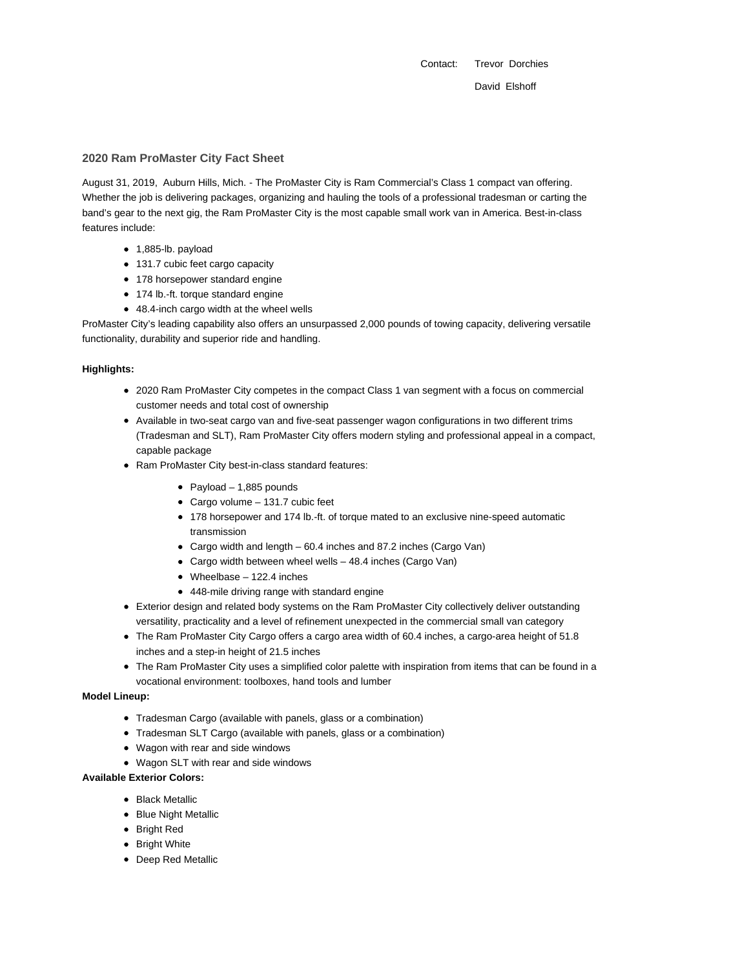Contact: Trevor Dorchies David Elshoff

### **2020 Ram ProMaster City Fact Sheet**

August 31, 2019, Auburn Hills, Mich. - The ProMaster City is Ram Commercial's Class 1 compact van offering. Whether the job is delivering packages, organizing and hauling the tools of a professional tradesman or carting the band's gear to the next gig, the Ram ProMaster City is the most capable small work van in America. Best-in-class features include:

- 1,885-lb. payload
- 131.7 cubic feet cargo capacity
- 178 horsepower standard engine
- 174 lb.-ft. torque standard engine
- 48.4-inch cargo width at the wheel wells

ProMaster City's leading capability also offers an unsurpassed 2,000 pounds of towing capacity, delivering versatile functionality, durability and superior ride and handling.

### **Highlights:**

- 2020 Ram ProMaster City competes in the compact Class 1 van segment with a focus on commercial customer needs and total cost of ownership
- Available in two-seat cargo van and five-seat passenger wagon configurations in two different trims (Tradesman and SLT), Ram ProMaster City offers modern styling and professional appeal in a compact, capable package
- Ram ProMaster City best-in-class standard features:
	- Payload  $-1,885$  pounds
	- Cargo volume 131.7 cubic feet
	- 178 horsepower and 174 lb.-ft. of torque mated to an exclusive nine-speed automatic transmission
	- Cargo width and length 60.4 inches and 87.2 inches (Cargo Van)
	- Cargo width between wheel wells 48.4 inches (Cargo Van)
	- Wheelbase 122.4 inches
	- 448-mile driving range with standard engine
- Exterior design and related body systems on the Ram ProMaster City collectively deliver outstanding versatility, practicality and a level of refinement unexpected in the commercial small van category
- The Ram ProMaster City Cargo offers a cargo area width of 60.4 inches, a cargo-area height of 51.8 inches and a step-in height of 21.5 inches
- The Ram ProMaster City uses a simplified color palette with inspiration from items that can be found in a vocational environment: toolboxes, hand tools and lumber

#### **Model Lineup:**

- Tradesman Cargo (available with panels, glass or a combination)
- Tradesman SLT Cargo (available with panels, glass or a combination)
- Wagon with rear and side windows
- Wagon SLT with rear and side windows

#### **Available Exterior Colors:**

- Black Metallic
- Blue Night Metallic
- Bright Red
- Bright White
- Deep Red Metallic